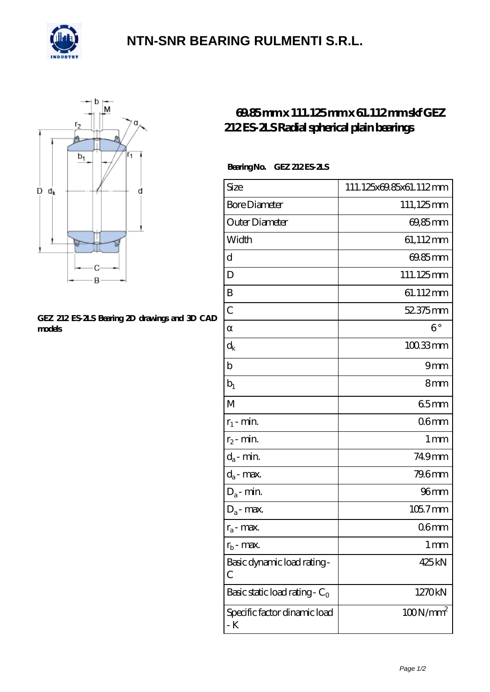

## **[NTN-SNR BEARING RULMENTI S.R.L.](https://m.confidencemenimprov.com)**



#### **[GEZ 212 ES-2LS Bearing 2D drawings and 3D CAD](https://m.confidencemenimprov.com/pic-64975127.html) [models](https://m.confidencemenimprov.com/pic-64975127.html)**

### **[69.85 mm x 111.125 mm x 61.112 mm skf GEZ](https://m.confidencemenimprov.com/be-64975127-skf-gez-212-es-2ls-radial-spherical-plain-bearings.html) [212 ES-2LS Radial spherical plain bearings](https://m.confidencemenimprov.com/be-64975127-skf-gez-212-es-2ls-radial-spherical-plain-bearings.html)**

### **Bearing No. GEZ 212 ES-2LS**

| Size                                 | 111.125x69.85x61.112mm |
|--------------------------------------|------------------------|
| <b>Bore Diameter</b>                 | 111,125mm              |
| Outer Diameter                       | 69,85mm                |
| Width                                | 61,112mm               |
| d                                    | 69.85mm                |
| D                                    | 111.125mm              |
| B                                    | 61.112mm               |
| $\mathcal{C}$                        | 52.375mm               |
|                                      | $6^{\circ}$            |
| $\rm{d_k}$                           | 100.33mm               |
| b                                    | 9mm                    |
| $b_1$                                | 8mm                    |
| M                                    | 65mm                   |
| $r_1$ - min.                         | 06 <sub>mm</sub>       |
| $r_2$ - min.                         | 1 <sub>mm</sub>        |
| $d_a$ - min.                         | 749mm                  |
| $d_a$ - max.                         | 79.6mm                 |
| $\mathrm{D}_\mathrm{a}\text{-}$ min. | 96 <sub>mm</sub>       |
| $D_a$ - max.                         | 105.7mm                |
| $r_a$ - max.                         | 06 <sub>mm</sub>       |
| $r_{\rm b}$ .<br>· max.              | 1 mm                   |
| Basic dynamic load rating-<br>С      | 425 kN                 |
| Basic static load rating - $C_0$     | 1270kN                 |
| Specific factor dinamic load<br>- K  | $100N/mm^2$            |